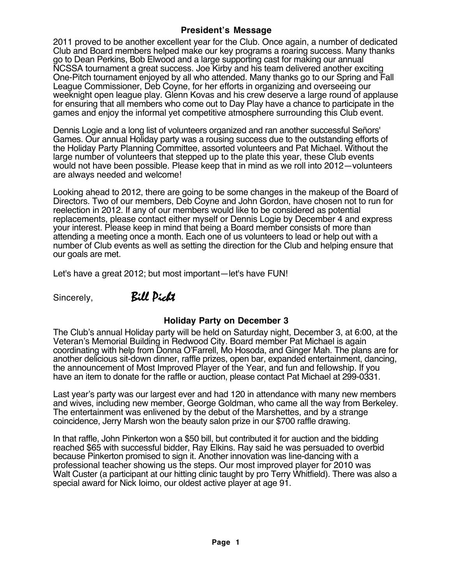## **President's Message**

2011 proved to be another excellent year for the Club. Once again, a number of dedicated Club and Board members helped make our key programs a roaring success. Many thanks go to Dean Perkins, Bob Elwood and a large supporting cast for making our annual NCSSA tournament a great success. Joe Kirby and his team delivered another exciting One-Pitch tournament enioved by all who attended. Many thanks go to our Spring and Fall League Commissioner, Deb Coyne, for her efforts in organizing and overseeing our weeknight open league play. Glenn Kovas and his crew deserve a large round of applause for ensuring that all members who come out to Day Play have a chance to participate in the games and enjoy the informal yet competitive atmosphere surrounding this Club event.

Dennis Logie and a long list of volunteers organized and ran another successful Señors' Games. Our annual Holiday party was a rousing success due to the outstanding efforts of the Holiday Party Planning Committee, assorted volunteers and Pat Michael. Without the large number of volunteers that stepped up to the plate this year, these Club events would not have been possible. Please keep that in mind as we roll into 2012—volunteers are always needed and welcome!

Looking ahead to 2012, there are going to be some changes in the makeup of the Board of Directors. Two of our members, Deb Coyne and John Gordon, have chosen not to run for reelection in 2012. If any of our members would like to be considered as potential replacements, please contact either myself or Dennis Logie by December 4 and express your interest. Please keep in mind that being a Board member consists of more than attending a meeting once a month. Each one of us volunteers to lead or help out with a number of Club events as well as setting the direction for the Club and helping ensure that our goals are met.

Let's have a great 2012; but most important—let's have FUN!

## Sincerely,Bill Picht

## **Holiday Party on December 3**

The Club's annual Holiday party will be held on Saturday night, December 3, at 6:00, at the Veteran's Memorial Building in Redwood City. Board member Pat Michael is again coordinating with help from Donna O'Farrell, Mo Hosoda, and Ginger Mah. The plans are for another delicious sit-down dinner, raffle prizes, open bar, expanded entertainment, dancing, the announcement of Most Improved Player of the Year, and fun and fellowship. If you have an item to donate for the raffle or auction, please contact Pat Michael at 299-0331.

Last year's party was our largest ever and had 120 in attendance with many new members and wives, including new member, George Goldman, who came all the way from Berkeley. The entertainment was enlivened by the debut of the Marshettes, and by a strange coincidence, Jerry Marsh won the beauty salon prize in our \$700 raffle drawing.

In that raffle, John Pinkerton won a \$50 bill, but contributed it for auction and the bidding reached \$65 with successful bidder, Ray Elkins. Ray said he was persuaded to overbid because Pinkerton promised to sign it. Another innovation was line-dancing with a professional teacher showing us the steps. Our most improved player for 2010 was Walt Custer (a participant at our hitting clinic taught by pro Terry Whitfield). There was also a special award for Nick Ioimo, our oldest active player at age 91.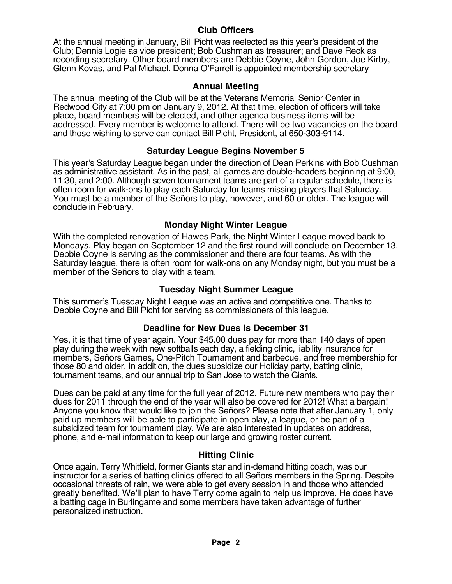## **Club Officers**

At the annual meeting in January, Bill Picht was reelected as this year's president of the Club; Dennis Logie as vice president; Bob Cushman as treasurer; and Dave Reck as recording secretary. Other board members are Debbie Coyne, John Gordon, Joe Kirby, Glenn Kovas, and Pat Michael. Donna O'Farrell is appointed membership secretary

## **Annual Meeting**

The annual meeting of the Club will be at the Veterans Memorial Senior Center in Redwood City at 7:00 pm on January 9, 2012. At that time, election of officers will take place, board members will be elected, and other agenda business items will be addressed. Every member is welcome to attend. There will be two vacancies on the board and those wishing to serve can contact Bill Picht, President, at 650-303-9114.

## **Saturday League Begins November 5**

This year's Saturday League began under the direction of Dean Perkins with Bob Cushman as administrative assistant. As in the past, all games are double-headers beginning at 9:00, 11:30, and 2:00. Although seven tournament teams are part of a regular schedule, there is often room for walk-ons to play each Saturday for teams missing players that Saturday. You must be a member of the Señors to play, however, and 60 or older. The league will conclude in February.

## **Monday Night Winter League**

With the completed renovation of Hawes Park, the Night Winter League moved back to Mondays. Play began on September 12 and the first round will conclude on December 13. Debbie Coyne is serving as the commissioner and there are four teams. As with the Saturday league, there is often room for walk-ons on any Monday night, but you must be a member of the Señors to play with a team.

## **Tuesday Night Summer League**

This summer's Tuesday Night League was an active and competitive one. Thanks to Debbie Coyne and Bill Picht for serving as commissioners of this league.

## **Deadline for New Dues Is December 31**

Yes, it is that time of year again. Your \$45.00 dues pay for more than 140 days of open play during the week with new softballs each day, a fielding clinic, liability insurance for members, Señors Games, One-Pitch Tournament and barbecue, and free membership for those 80 and older. In addition, the dues subsidize our Holiday party, batting clinic, tournament teams, and our annual trip to San Jose to watch the Giants.

Dues can be paid at any time for the full year of 2012. Future new members who pay their dues for 2011 through the end of the year will also be covered for 2012! What a bargain! Anyone you know that would like to join the Señors? Please note that after January 1, only paid up members will be able to participate in open play, a league, or be part of a subsidized team for tournament play. We are also interested in updates on address, phone, and e-mail information to keep our large and growing roster current.

## **Hitting Clinic**

Once again, Terry Whitfield, former Giants star and in-demand hitting coach, was our instructor for a series of batting clinics offered to all Señors members in the Spring. Despite occasional threats of rain, we were able to get every session in and those who attended greatly benefited. We'll plan to have Terry come again to help us improve. He does have a batting cage in Burlingame and some members have taken advantage of further personalized instruction.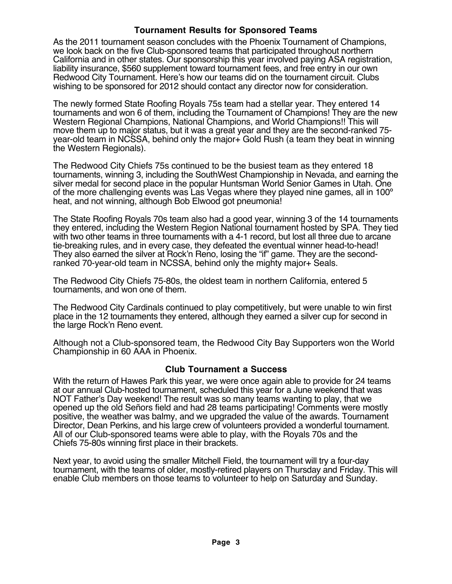## **Tournament Results for Sponsored Teams**

As the 2011 tournament season concludes with the Phoenix Tournament of Champions, we look back on the five Club-sponsored teams that participated throughout northern California and in other states. Our sponsorship this year involved paying ASA registration, liability insurance, \$560 supplement toward tournament fees, and free entry in our own Redwood City Tournament. Here's how our teams did on the tournament circuit. Clubs wishing to be sponsored for 2012 should contact any director now for consideration.

The newly formed State Roofing Royals 75s team had a stellar year. They entered 14 tournaments and won 6 of them, including the Tournament of Champions! They are the new Western Regional Champions, National Champions, and World Champions!! This will move them up to major status, but it was a great year and they are the second-ranked 75 year-old team in NCSSA, behind only the major+ Gold Rush (a team they beat in winning the Western Regionals).

The Redwood City Chiefs 75s continued to be the busiest team as they entered 18 tournaments, winning 3, including the SouthWest Championship in Nevada, and earning the silver medal for second place in the popular Huntsman World Senior Games in Utah. One of the more challenging events was Las Vegas where they played nine games, all in 100º heat, and not winning, although Bob Elwood got pneumonia!

The State Roofing Royals 70s team also had a good year, winning 3 of the 14 tournaments they entered, including the Western Region National tournament hosted by SPA. They tied with two other teams in three tournaments with a 4-1 record, but lost all three due to arcane tie-breaking rules, and in every case, they defeated the eventual winner head-to-head! They also earned the silver at Rock'n Reno, losing the "if" game. They are the secondranked 70-year-old team in NCSSA, behind only the mighty major+ Seals.

The Redwood City Chiefs 75-80s, the oldest team in northern California, entered 5 tournaments, and won one of them.

The Redwood City Cardinals continued to play competitively, but were unable to win first place in the 12 tournaments they entered, although they earned a silver cup for second in the large Rock'n Reno event.

Although not a Club-sponsored team, the Redwood City Bay Supporters won the World Championship in 60 AAA in Phoenix.

## **Club Tournament a Success**

With the return of Hawes Park this year, we were once again able to provide for 24 teams at our annual Club-hosted tournament, scheduled this year for a June weekend that was NOT Father's Day weekend! The result was so many teams wanting to play, that we opened up the old Señors field and had 28 teams participating! Comments were mostly positive, the weather was balmy, and we upgraded the value of the awards. Tournament Director, Dean Perkins, and his large crew of volunteers provided a wonderful tournament. All of our Club-sponsored teams were able to play, with the Royals 70s and the Chiefs 75-80s winning first place in their brackets.

Next year, to avoid using the smaller Mitchell Field, the tournament will try a four-day tournament, with the teams of older, mostly-retired players on Thursday and Friday. This will enable Club members on those teams to volunteer to help on Saturday and Sunday.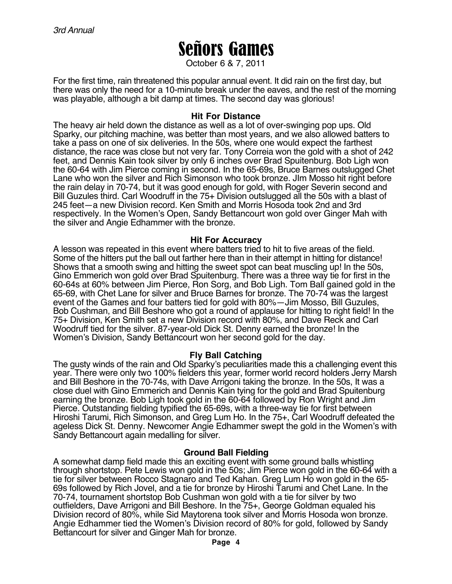# Señors Games

October 6 & 7, 2011

For the first time, rain threatened this popular annual event. It did rain on the first day, but there was only the need for a 10-minute break under the eaves, and the rest of the morning was playable, although a bit damp at times. The second day was glorious!

#### **Hit For Distance**

The heavy air held down the distance as well as a lot of over-swinging pop ups. Old Sparky, our pitching machine, was better than most years, and we also allowed batters to take a pass on one of six deliveries. In the 50s, where one would expect the farthest distance, the race was close but not very far. Tony Correia won the gold with a shot of 242 feet, and Dennis Kain took silver by only 6 inches over Brad Spuitenburg. Bob Ligh won the 60-64 with Jim Pierce coming in second. In the 65-69s, Bruce Barnes outslugged Chet Lane who won the silver and Rich Simonson who took bronze. JIm Mosso hit right before the rain delay in 70-74, but it was good enough for gold, with Roger Severin second and Bill Guzules third. Carl Woodruff in the 75+ Division outslugged all the 50s with a blast of 245 feet—a new Division record. Ken Smith and Morris Hosoda took 2nd and 3rd respectively. In the Women's Open, Sandy Bettancourt won gold over Ginger Mah with the silver and Angie Edhammer with the bronze.

#### **Hit For Accuracy**

A lesson was repeated in this event where batters tried to hit to five areas of the field. Some of the hitters put the ball out farther here than in their attempt in hitting for distance! Shows that a smooth swing and hitting the sweet spot can beat muscling up! In the 50s, Gino Emmerich won gold over Brad Spuitenburg. There was a three way tie for first in the 60-64s at 60% between Jim Pierce, Ron Sorg, and Bob Ligh. Tom Ball gained gold in the 65-69, with Chet Lane for silver and Bruce Barnes for bronze. The 70-74 was the largest event of the Games and four batters tied for gold with 80%—Jim Mosso, Bill Guzules, Bob Cushman, and Bill Beshore who got a round of applause for hitting to right field! In the 75+ Division, Ken Smith set a new Division record with 80%, and Dave Reck and Carl Woodruff tied for the silver. 87-year-old Dick St. Denny earned the bronze! In the Women's Division, Sandy Bettancourt won her second gold for the day.

## **Fly Ball Catching**

The gusty winds of the rain and Old Sparky's peculiarities made this a challenging event this year. There were only two 100% fielders this year, former world record holders Jerry Marsh and Bill Beshore in the 70-74s, with Dave Arrigoni taking the bronze. In the 50s, It was a close duel with Gino Emmerich and Dennis Kain tying for the gold and Brad Spuitenburg earning the bronze. Bob Ligh took gold in the 60-64 followed by Ron Wright and Jim Pierce. Outstanding fielding typified the 65-69s, with a three-way tie for first between Hiroshi Tarumi, Rich Simonson, and Greg Lum Ho. In the 75+, Carl Woodruff defeated the ageless Dick St. Denny. Newcomer Angie Edhammer swept the gold in the Women's with Sandy Bettancourt again medalling for silver.

#### **Ground Ball Fielding**

A somewhat damp field made this an exciting event with some ground balls whistling through shortstop. Pete Lewis won gold in the 50s; Jim Pierce won gold in the 60-64 with a tie for silver between Rocco Stagnaro and Ted Kahan. Greg Lum Ho won gold in the 65-69s followed by Rich Jovel, and a tie for bronze by Hiroshi Tarumi and Chet Lane. In the 70-74, tournament shortstop Bob Cushman won gold with a tie for silver by two outfielders, Dave Arrigoni and Bill Beshore. In the 75+, George Goldman equaled his Division record of 80%, while Sid Maytorena took silver and Morris Hosoda won bronze. Angie Edhammer tied the Women's Division record of 80% for gold, followed by Sandy Bettancourt for silver and Ginger Mah for bronze.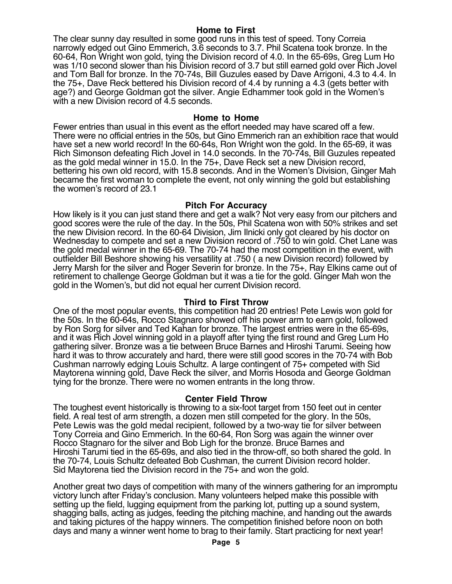#### **Home to First**

The clear sunny day resulted in some good runs in this test of speed. Tony Correia narrowly edged out Gino Emmerich, 3.6 seconds to 3.7. Phil Scatena took bronze. In the 60-64, Ron Wright won gold, tying the Division record of 4.0. In the 65-69s, Greg Lum Ho was 1/10 second slower than his Division record of 3.7 but still earned gold over Rich Jovel and Tom Ball for bronze. In the 70-74s, Bill Guzules eased by Dave Arrigoni, 4.3 to 4.4. In the 75+, Dave Reck bettered his Division record of 4.4 by running a 4.3 (gets better with age?) and George Goldman got the silver. Angie Edhammer took gold in the Women's with a new Division record of 4.5 seconds.

#### **Home to Home**

Fewer entries than usual in this event as the effort needed may have scared off a few. There were no official entries in the 50s, but Gino Emmerich ran an exhibition race that would have set a new world record! In the 60-64s, Ron Wright won the gold. In the 65-69, it was Rich Simonson defeating Rich Jovel in 14.0 seconds. In the 70-74s, Bill Guzules repeated as the gold medal winner in 15.0. In the 75+, Dave Reck set a new Division record, bettering his own old record, with 15.8 seconds. And in the Women's Division, Ginger Mah became the first woman to complete the event, not only winning the gold but establishing the women's record of 23.1

#### **Pitch For Accuracy**

How likely is it you can just stand there and get a walk? Not very easy from our pitchers and good scores were the rule of the day. In the 50s, Phil Scatena won with 50% strikes and set the new Division record. In the 60-64 Division, Jim Ilnicki only got cleared by his doctor on Wednesday to compete and set a new Division record of .750 to win gold. Chet Lane was the gold medal winner in the 65-69. The 70-74 had the most competition in the event, with outfielder Bill Beshore showing his versatility at .750 ( a new Division record) followed by Jerry Marsh for the silver and Roger Severin for bronze. In the 75+, Ray Elkins came out of retirement to challenge George Goldman but it was a tie for the gold. Ginger Mah won the gold in the Women's, but did not equal her current Division record.

#### **Third to First Throw**

One of the most popular events, this competition had 20 entries! Pete Lewis won gold for the 50s. In the 60-64s, Rocco Stagnaro showed off his power arm to earn gold, followed by Ron Sorg for silver and Ted Kahan for bronze. The largest entries were in the 65-69s, and it was Rich Jovel winning gold in a playoff after tying the first round and Greg Lum Ho gathering silver. Bronze was a tie between Bruce Barnes and Hiroshi Tarumi. Seeing how hard it was to throw accurately and hard, there were still good scores in the 70-74 with Bob Cushman narrowly edging Louis Schultz. A large contingent of 75+ competed with Sid Maytorena winning gold, Dave Reck the silver, and Morris Hosoda and George Goldman tying for the bronze. There were no women entrants in the long throw.

#### **Center Field Throw**

The toughest event historically is throwing to a six-foot target from 150 feet out in center field. A real test of arm strength, a dozen men still competed for the glory. In the 50s, Pete Lewis was the gold medal recipient, followed by a two-way tie for silver between Tony Correia and Gino Emmerich. In the 60-64, Ron Sorg was again the winner over Rocco Stagnaro for the silver and Bob Ligh for the bronze. Bruce Barnes and Hiroshi Tarumi tied in the 65-69s, and also tied in the throw-off, so both shared the gold. In the 70-74, Louis Schultz defeated Bob Cushman, the current Division record holder. Sid Maytorena tied the Division record in the 75+ and won the gold.

Another great two days of competition with many of the winners gathering for an impromptu victory lunch after Friday's conclusion. Many volunteers helped make this possible with setting up the field, lugging equipment from the parking lot, putting up a sound system, shagging balls, acting as judges, feeding the pitching machine, and handing out the awards and taking pictures of the happy winners. The competition finished before noon on both days and many a winner went home to brag to their family. Start practicing for next year!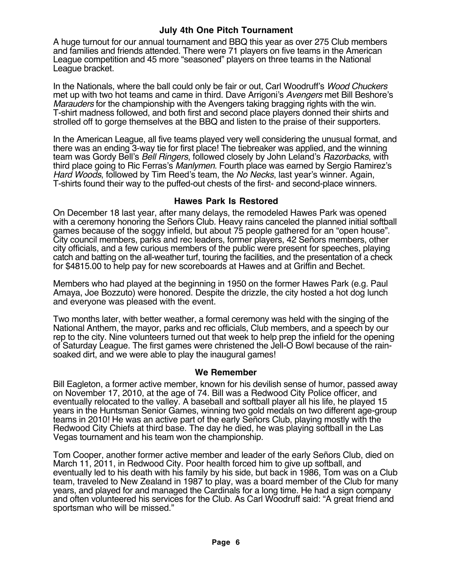## **July 4th One Pitch Tournament**

A huge turnout for our annual tournament and BBQ this year as over 275 Club members and families and friends attended. There were 71 players on five teams in the American League competition and 45 more "seasoned" players on three teams in the National League bracket.

In the Nationals, where the ball could only be fair or out, Carl Woodruff's Wood Chuckers met up with two hot teams and came in third. Dave Arrigoni's Avengers met Bill Beshore's Marauders for the championship with the Avengers taking bragging rights with the win. T-shirt madness followed, and both first and second place players donned their shirts and strolled off to gorge themselves at the BBQ and listen to the praise of their supporters.

In the American League, all five teams played very well considering the unusual format, and there was an ending 3-way tie for first place! The tiebreaker was applied, and the winning team was Gordy Bell's *Bell Ringers*, followed closely by John Leland's *Razorbacks*, with third place going to Ric Ferras's Manlymen. Fourth place was earned by Sergio Ramirez's Hard Woods, followed by Tim Reed's team, the No Necks, last year's winner. Again, T-shirts found their way to the puffed-out chests of the first- and second-place winners.

#### **Hawes Park Is Restored**

On December 18 last year, after many delays, the remodeled Hawes Park was opened with a ceremony honoring the Señors Club. Heavy rains canceled the planned initial softball games because of the soggy infield, but about 75 people gathered for an "open house". City council members, parks and rec leaders, former players, 42 Señors members, other city officials, and a few curious members of the public were present for speeches, playing catch and batting on the all-weather turf, touring the facilities, and the presentation of a check for \$4815.00 to help pay for new scoreboards at Hawes and at Griffin and Bechet.

Members who had played at the beginning in 1950 on the former Hawes Park (e.g. Paul Amaya, Joe Bozzuto) were honored. Despite the drizzle, the city hosted a hot dog lunch and everyone was pleased with the event.

Two months later, with better weather, a formal ceremony was held with the singing of the National Anthem, the mayor, parks and rec officials, Club members, and a speech by our rep to the city. Nine volunteers turned out that week to help prep the infield for the opening of Saturday League. The first games were christened the Jell-O Bowl because of the rainsoaked dirt, and we were able to play the inaugural games!

#### **We Remember**

Bill Eagleton, a former active member, known for his devilish sense of humor, passed away on November 17, 2010, at the age of 74. Bill was a Redwood City Police officer, and eventually relocated to the valley. A baseball and softball player all his life, he played 15 years in the Huntsman Senior Games, winning two gold medals on two different age-group teams in 2010! He was an active part of the early Señors Club, playing mostly with the Redwood City Chiefs at third base. The day he died, he was playing softball in the Las Vegas tournament and his team won the championship.

Tom Cooper, another former active member and leader of the early Señors Club, died on March 11, 2011, in Redwood City. Poor health forced him to give up softball, and eventually led to his death with his family by his side, but back in 1986, Tom was on a Club team, traveled to New Zealand in 1987 to play, was a board member of the Club for many years, and played for and managed the Cardinals for a long time. He had a sign company and often volunteered his services for the Club. As Carl Woodruff said: "A great friend and sportsman who will be missed."